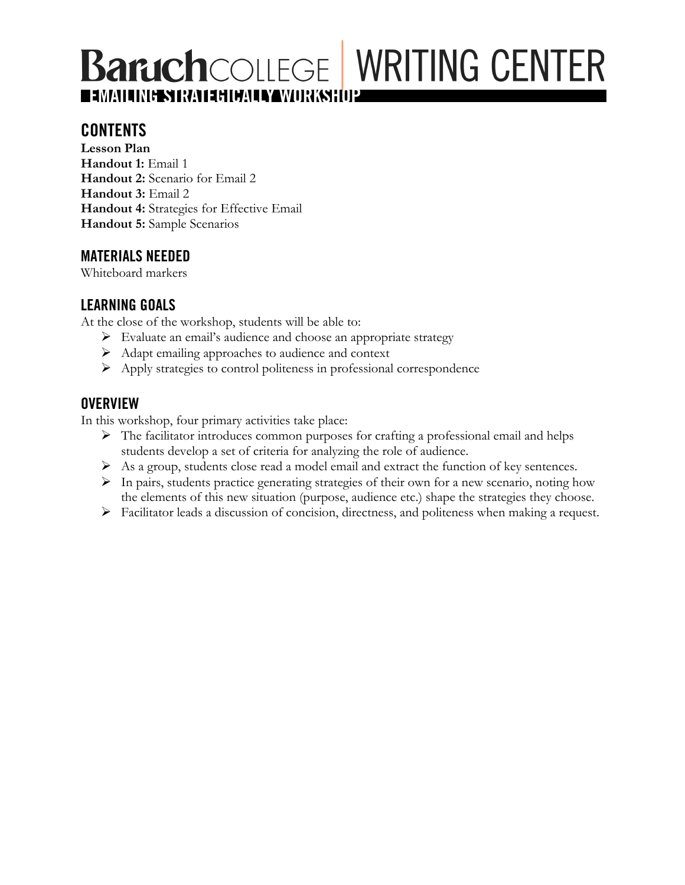# **Baruch**COLLEGE WRITING CENTER EMAILING STRATEGICAL <mark>Samorksh</mark>op

### **CONTENTS**

**Lesson Plan Handout 1:** Email 1 **Handout 2:** Scenario for Email 2 **Handout 3:** Email 2 **Handout 4:** Strategies for Effective Email **Handout 5:** Sample Scenarios

### **MATERIALS NEEDED**

Whiteboard markers

### **LEARNING GOALS**

At the close of the workshop, students will be able to:

- $\triangleright$  Evaluate an email's audience and choose an appropriate strategy
- $\triangleright$  Adapt emailing approaches to audience and context
- Ø Apply strategies to control politeness in professional correspondence

### **OVERVIEW**

In this workshop, four primary activities take place:

- $\triangleright$  The facilitator introduces common purposes for crafting a professional email and helps students develop a set of criteria for analyzing the role of audience.
- Ø As a group, students close read a model email and extract the function of key sentences.
- $\triangleright$  In pairs, students practice generating strategies of their own for a new scenario, noting how the elements of this new situation (purpose, audience etc.) shape the strategies they choose.
- Ø Facilitator leads a discussion of concision, directness, and politeness when making a request.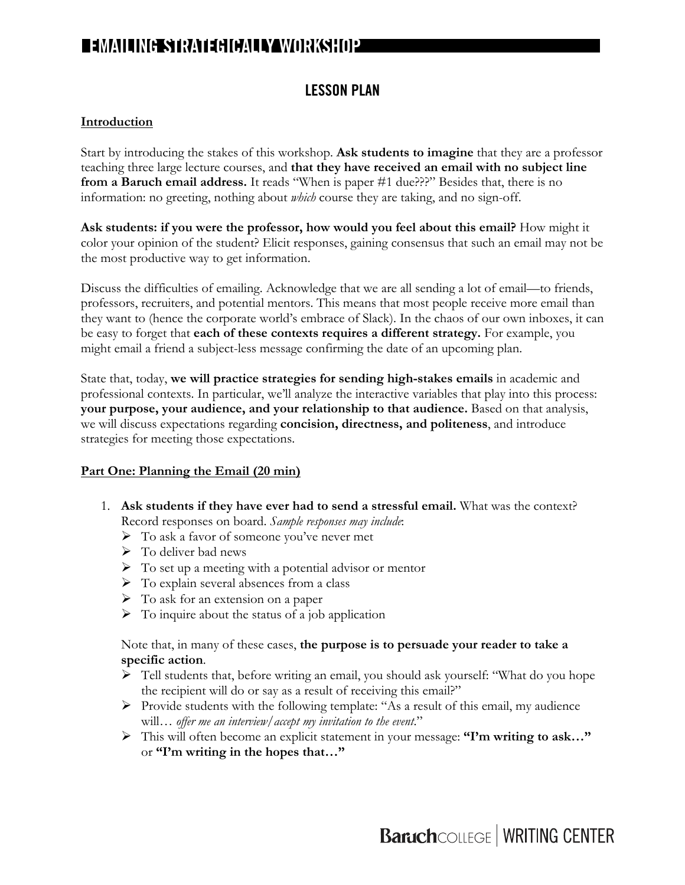### **LESSON PLAN**

#### **Introduction**

Start by introducing the stakes of this workshop. **Ask students to imagine** that they are a professor teaching three large lecture courses, and **that they have received an email with no subject line from a Baruch email address.** It reads "When is paper #1 due???" Besides that, there is no information: no greeting, nothing about *which* course they are taking, and no sign-off.

**Ask students: if you were the professor, how would you feel about this email?** How might it color your opinion of the student? Elicit responses, gaining consensus that such an email may not be the most productive way to get information.

Discuss the difficulties of emailing. Acknowledge that we are all sending a lot of email—to friends, professors, recruiters, and potential mentors. This means that most people receive more email than they want to (hence the corporate world's embrace of Slack). In the chaos of our own inboxes, it can be easy to forget that **each of these contexts requires a different strategy.** For example, you might email a friend a subject-less message confirming the date of an upcoming plan.

State that, today, **we will practice strategies for sending high-stakes emails** in academic and professional contexts. In particular, we'll analyze the interactive variables that play into this process: **your purpose, your audience, and your relationship to that audience.** Based on that analysis, we will discuss expectations regarding **concision, directness, and politeness**, and introduce strategies for meeting those expectations.

#### **Part One: Planning the Email (20 min)**

- 1. **Ask students if they have ever had to send a stressful email.** What was the context? Record responses on board. *Sample responses may include*:
	- $\triangleright$  To ask a favor of someone you've never met
	- $\triangleright$  To deliver bad news
	- $\triangleright$  To set up a meeting with a potential advisor or mentor
	- $\triangleright$  To explain several absences from a class
	- $\triangleright$  To ask for an extension on a paper
	- $\triangleright$  To inquire about the status of a job application

#### Note that, in many of these cases, **the purpose is to persuade your reader to take a specific action**.

- Ø Tell students that, before writing an email, you should ask yourself: "What do you hope the recipient will do or say as a result of receiving this email?"
- $\triangleright$  Provide students with the following template: "As a result of this email, my audience will… *offer me an interview*/*accept my invitation to the event*."
- Ø This will often become an explicit statement in your message: **"I'm writing to ask…"**  or **"I'm writing in the hopes that…"**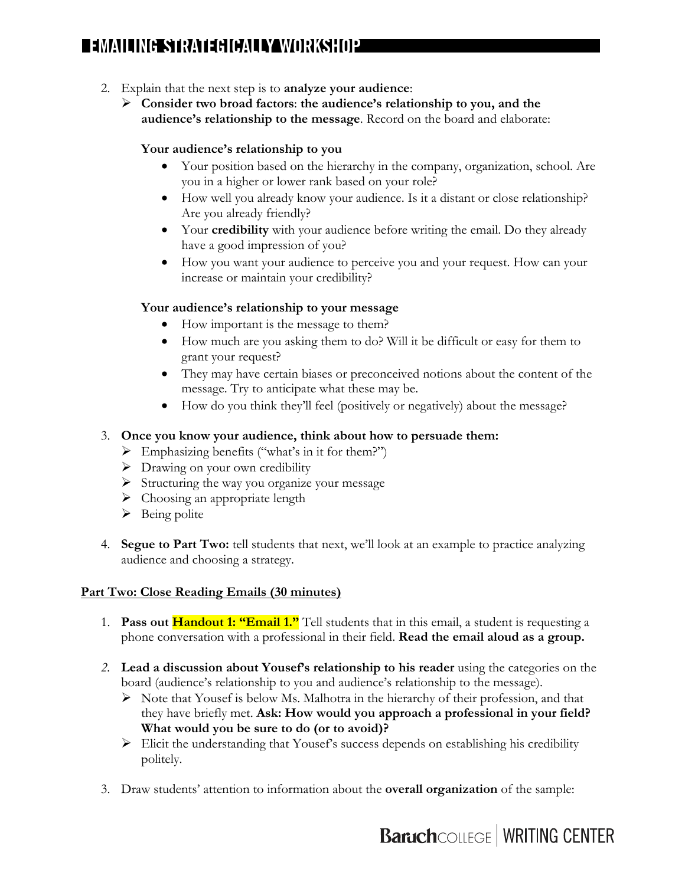- 2. Explain that the next step is to **analyze your audience**:
	- Ø **Consider two broad factors**: **the audience's relationship to you, and the audience's relationship to the message**. Record on the board and elaborate:

#### **Your audience's relationship to you**

- Your position based on the hierarchy in the company, organization, school. Are you in a higher or lower rank based on your role?
- How well you already know your audience. Is it a distant or close relationship? Are you already friendly?
- Your **credibility** with your audience before writing the email. Do they already have a good impression of you?
- How you want your audience to perceive you and your request. How can your increase or maintain your credibility?

#### **Your audience's relationship to your message**

- How important is the message to them?
- How much are you asking them to do? Will it be difficult or easy for them to grant your request?
- They may have certain biases or preconceived notions about the content of the message. Try to anticipate what these may be.
- How do you think they'll feel (positively or negatively) about the message?

#### 3. **Once you know your audience, think about how to persuade them:**

- $\triangleright$  Emphasizing benefits ("what's in it for them?")
- $\triangleright$  Drawing on your own credibility
- $\triangleright$  Structuring the way you organize your message
- $\triangleright$  Choosing an appropriate length
- $\triangleright$  Being polite
- 4. **Segue to Part Two:** tell students that next, we'll look at an example to practice analyzing audience and choosing a strategy.

#### **Part Two: Close Reading Emails (30 minutes)**

- 1. **Pass out Handout 1: "Email 1."** Tell students that in this email, a student is requesting a phone conversation with a professional in their field. **Read the email aloud as a group.**
- *2.* **Lead a discussion about Yousef's relationship to his reader** using the categories on the board (audience's relationship to you and audience's relationship to the message).
	- $\triangleright$  Note that Yousef is below Ms. Malhotra in the hierarchy of their profession, and that they have briefly met. **Ask: How would you approach a professional in your field? What would you be sure to do (or to avoid)?**
	- $\triangleright$  Elicit the understanding that Yousef's success depends on establishing his credibility politely.
- 3. Draw students' attention to information about the **overall organization** of the sample: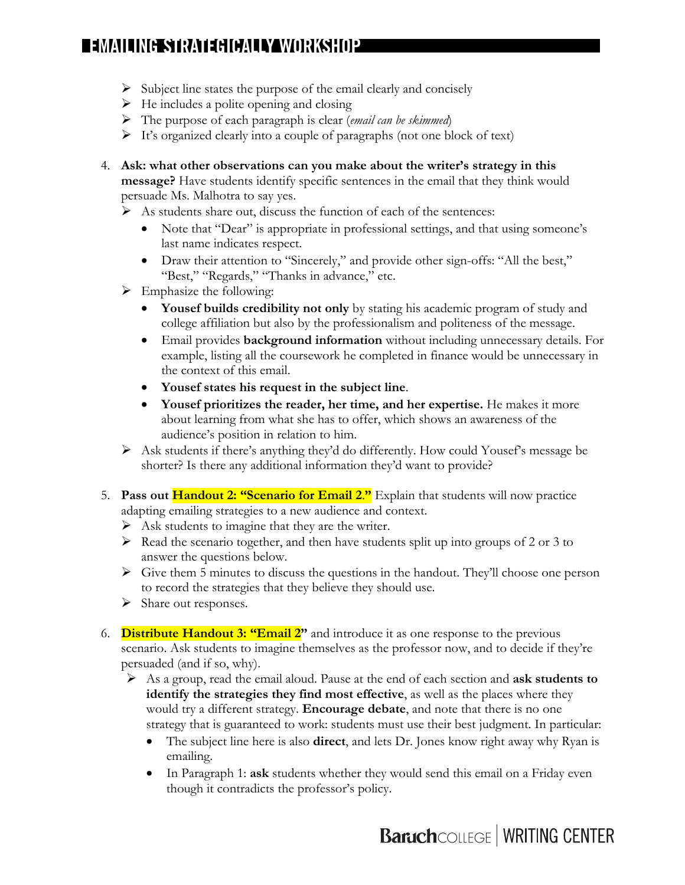- $\triangleright$  Subject line states the purpose of the email clearly and concisely
- $\triangleright$  He includes a polite opening and closing
- Ø The purpose of each paragraph is clear (*email can be skimmed*)
- $\triangleright$  It's organized clearly into a couple of paragraphs (not one block of text)
- 4. **Ask: what other observations can you make about the writer's strategy in this message?** Have students identify specific sentences in the email that they think would persuade Ms. Malhotra to say yes.
	- $\triangleright$  As students share out, discuss the function of each of the sentences:
		- Note that "Dear" is appropriate in professional settings, and that using someone's last name indicates respect.
		- Draw their attention to "Sincerely," and provide other sign-offs: "All the best," "Best," "Regards," "Thanks in advance," etc.
	- $\triangleright$  Emphasize the following:
		- **Yousef builds credibility not only** by stating his academic program of study and college affiliation but also by the professionalism and politeness of the message.
		- Email provides **background information** without including unnecessary details. For example, listing all the coursework he completed in finance would be unnecessary in the context of this email.
		- **Yousef states his request in the subject line**.
		- **Yousef prioritizes the reader, her time, and her expertise.** He makes it more about learning from what she has to offer, which shows an awareness of the audience's position in relation to him.
	- $\triangleright$  Ask students if there's anything they'd do differently. How could Yousef's message be shorter? Is there any additional information they'd want to provide?
- 5. **Pass out Handout 2: "Scenario for Email 2**.**"** Explain that students will now practice adapting emailing strategies to a new audience and context.
	- $\triangleright$  Ask students to imagine that they are the writer.
	- $\triangleright$  Read the scenario together, and then have students split up into groups of 2 or 3 to answer the questions below.
	- $\triangleright$  Give them 5 minutes to discuss the questions in the handout. They'll choose one person to record the strategies that they believe they should use.
	- $\triangleright$  Share out responses.
- 6. **Distribute Handout 3: "Email 2"** and introduce it as one response to the previous scenario. Ask students to imagine themselves as the professor now, and to decide if they're persuaded (and if so, why).
	- Ø As a group, read the email aloud. Pause at the end of each section and **ask students to identify the strategies they find most effective**, as well as the places where they would try a different strategy. **Encourage debate**, and note that there is no one strategy that is guaranteed to work: students must use their best judgment. In particular:
		- The subject line here is also **direct**, and lets Dr. Jones know right away why Ryan is emailing.
		- In Paragraph 1: **ask** students whether they would send this email on a Friday even though it contradicts the professor's policy.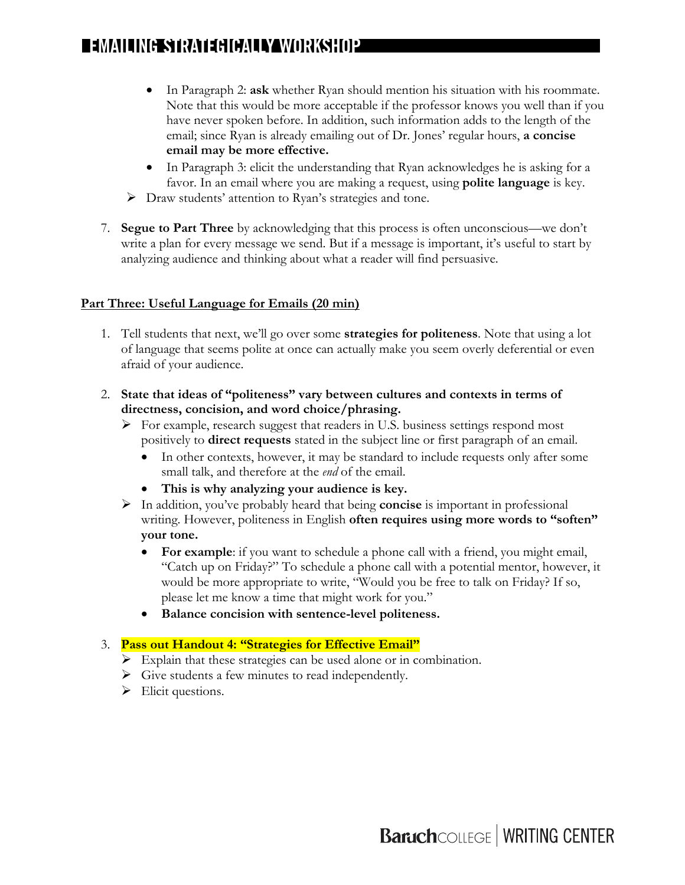- In Paragraph 2: **ask** whether Ryan should mention his situation with his roommate. Note that this would be more acceptable if the professor knows you well than if you have never spoken before. In addition, such information adds to the length of the email; since Ryan is already emailing out of Dr. Jones' regular hours, **a concise email may be more effective.**
- In Paragraph 3: elicit the understanding that Ryan acknowledges he is asking for a favor. In an email where you are making a request, using **polite language** is key.
- $\triangleright$  Draw students' attention to Ryan's strategies and tone.
- 7. **Segue to Part Three** by acknowledging that this process is often unconscious—we don't write a plan for every message we send. But if a message is important, it's useful to start by analyzing audience and thinking about what a reader will find persuasive.

#### **Part Three: Useful Language for Emails (20 min)**

- 1. Tell students that next, we'll go over some **strategies for politeness**. Note that using a lot of language that seems polite at once can actually make you seem overly deferential or even afraid of your audience.
- 2. **State that ideas of "politeness" vary between cultures and contexts in terms of directness, concision, and word choice/phrasing.** 
	- $\triangleright$  For example, research suggest that readers in U.S. business settings respond most positively to **direct requests** stated in the subject line or first paragraph of an email.
		- In other contexts, however, it may be standard to include requests only after some small talk, and therefore at the *end* of the email.
		- **This is why analyzing your audience is key.**
	- Ø In addition, you've probably heard that being **concise** is important in professional writing. However, politeness in English **often requires using more words to "soften" your tone.**
		- **For example**: if you want to schedule a phone call with a friend, you might email, "Catch up on Friday?" To schedule a phone call with a potential mentor, however, it would be more appropriate to write, "Would you be free to talk on Friday? If so, please let me know a time that might work for you."
		- **Balance concision with sentence-level politeness.**

#### 3. **Pass out Handout 4: "Strategies for Effective Email"**

- $\triangleright$  Explain that these strategies can be used alone or in combination.
- $\triangleright$  Give students a few minutes to read independently.
- $\triangleright$  Elicit questions.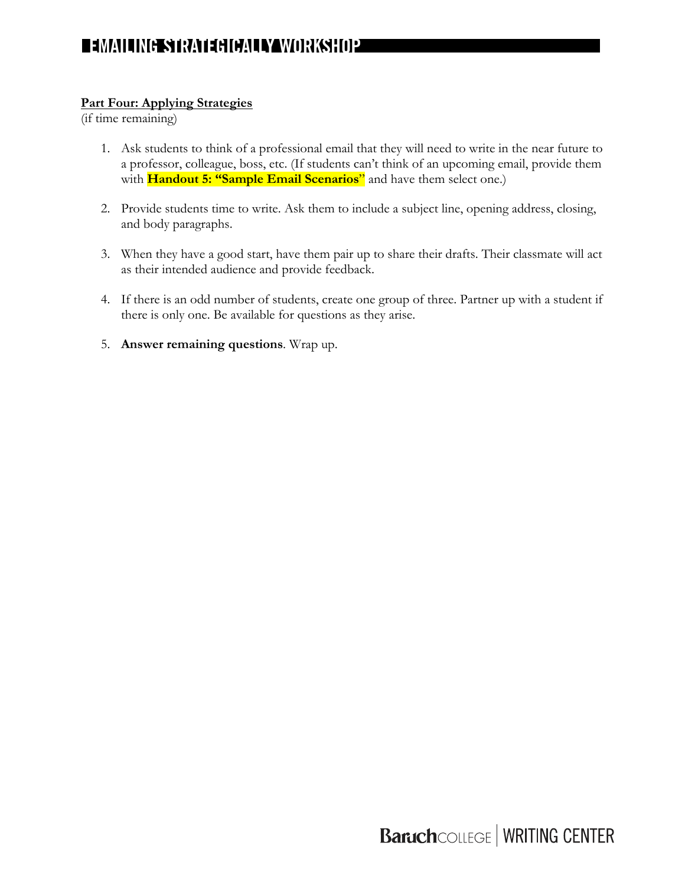#### **Part Four: Applying Strategies**

(if time remaining)

- 1. Ask students to think of a professional email that they will need to write in the near future to a professor, colleague, boss, etc. (If students can't think of an upcoming email, provide them with **Handout 5: "Sample Email Scenarios**" and have them select one.)
- 2. Provide students time to write. Ask them to include a subject line, opening address, closing, and body paragraphs.
- 3. When they have a good start, have them pair up to share their drafts. Their classmate will act as their intended audience and provide feedback.
- 4. If there is an odd number of students, create one group of three. Partner up with a student if there is only one. Be available for questions as they arise.
- 5. **Answer remaining questions**. Wrap up.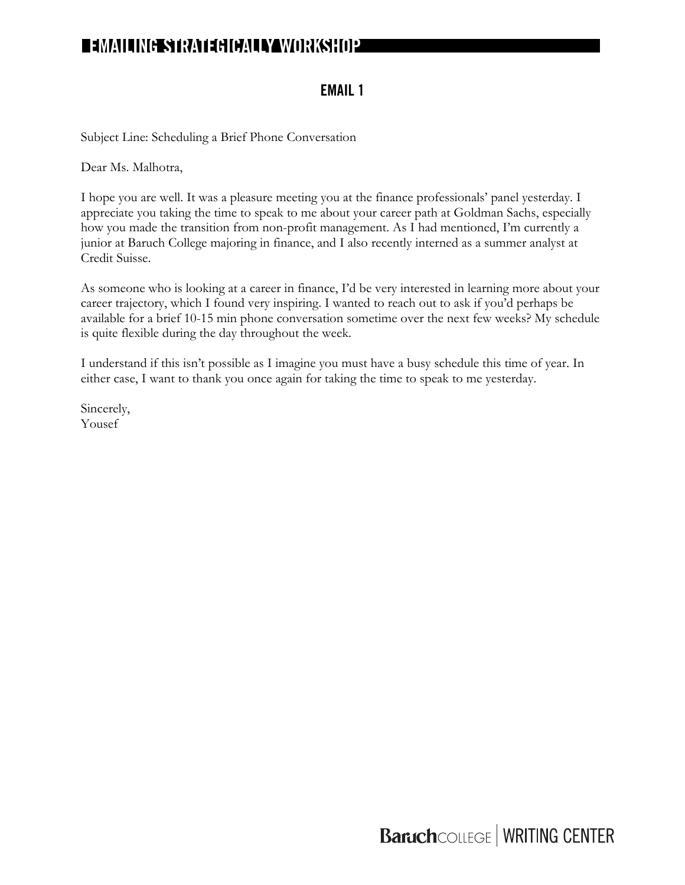### **EMAIL 1**

Subject Line: Scheduling a Brief Phone Conversation

Dear Ms. Malhotra,

I hope you are well. It was a pleasure meeting you at the finance professionals' panel yesterday. I appreciate you taking the time to speak to me about your career path at Goldman Sachs, especially how you made the transition from non-profit management. As I had mentioned, I'm currently a junior at Baruch College majoring in finance, and I also recently interned as a summer analyst at Credit Suisse.

As someone who is looking at a career in finance, I'd be very interested in learning more about your career trajectory, which I found very inspiring. I wanted to reach out to ask if you'd perhaps be available for a brief 10-15 min phone conversation sometime over the next few weeks? My schedule is quite flexible during the day throughout the week.

I understand if this isn't possible as I imagine you must have a busy schedule this time of year. In either case, I want to thank you once again for taking the time to speak to me yesterday.

Sincerely, Yousef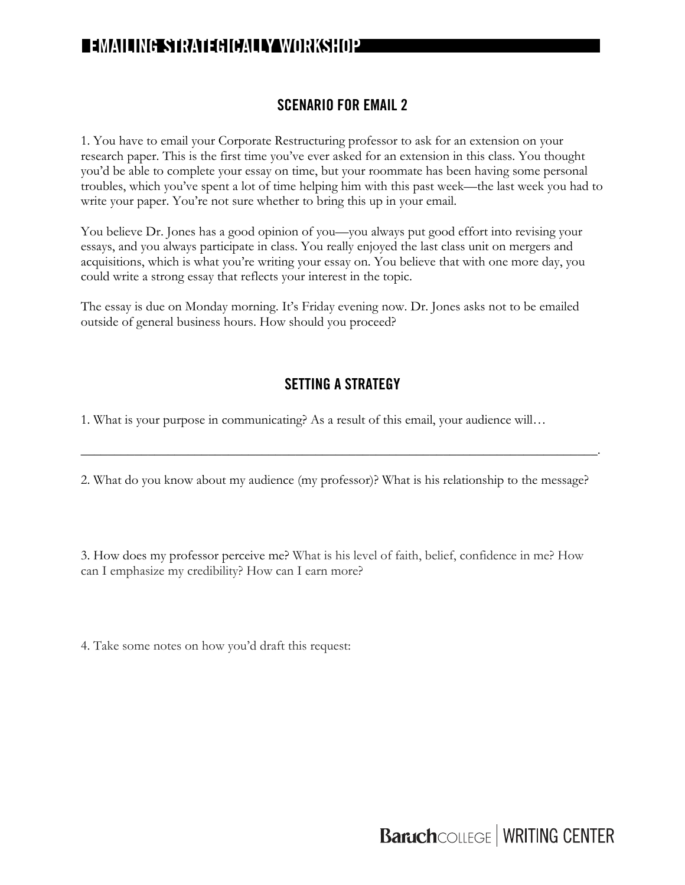### **SCENARIO FOR EMAIL 2**

1. You have to email your Corporate Restructuring professor to ask for an extension on your research paper. This is the first time you've ever asked for an extension in this class. You thought you'd be able to complete your essay on time, but your roommate has been having some personal troubles, which you've spent a lot of time helping him with this past week—the last week you had to write your paper. You're not sure whether to bring this up in your email.

You believe Dr. Jones has a good opinion of you—you always put good effort into revising your essays, and you always participate in class. You really enjoyed the last class unit on mergers and acquisitions, which is what you're writing your essay on. You believe that with one more day, you could write a strong essay that reflects your interest in the topic.

The essay is due on Monday morning. It's Friday evening now. Dr. Jones asks not to be emailed outside of general business hours. How should you proceed?

### **SETTING A STRATEGY**

1. What is your purpose in communicating? As a result of this email, your audience will…

2. What do you know about my audience (my professor)? What is his relationship to the message?

\_\_\_\_\_\_\_\_\_\_\_\_\_\_\_\_\_\_\_\_\_\_\_\_\_\_\_\_\_\_\_\_\_\_\_\_\_\_\_\_\_\_\_\_\_\_\_\_\_\_\_\_\_\_\_\_\_\_\_\_\_\_\_\_\_\_\_\_\_\_\_\_\_\_\_\_\_.

3. How does my professor perceive me? What is his level of faith, belief, confidence in me? How can I emphasize my credibility? How can I earn more?

4. Take some notes on how you'd draft this request: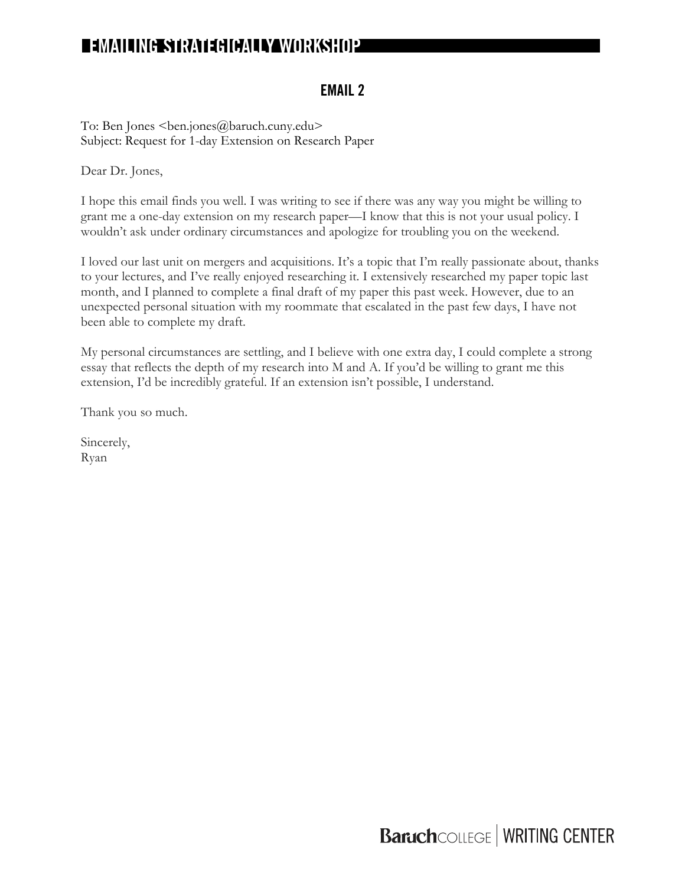### **EMAIL 2**

To: Ben Jones <ben.jones@baruch.cuny.edu> Subject: Request for 1-day Extension on Research Paper

Dear Dr. Jones,

I hope this email finds you well. I was writing to see if there was any way you might be willing to grant me a one-day extension on my research paper—I know that this is not your usual policy. I wouldn't ask under ordinary circumstances and apologize for troubling you on the weekend.

I loved our last unit on mergers and acquisitions. It's a topic that I'm really passionate about, thanks to your lectures, and I've really enjoyed researching it. I extensively researched my paper topic last month, and I planned to complete a final draft of my paper this past week. However, due to an unexpected personal situation with my roommate that escalated in the past few days, I have not been able to complete my draft.

My personal circumstances are settling, and I believe with one extra day, I could complete a strong essay that reflects the depth of my research into M and A. If you'd be willing to grant me this extension, I'd be incredibly grateful. If an extension isn't possible, I understand.

Thank you so much.

Sincerely, Ryan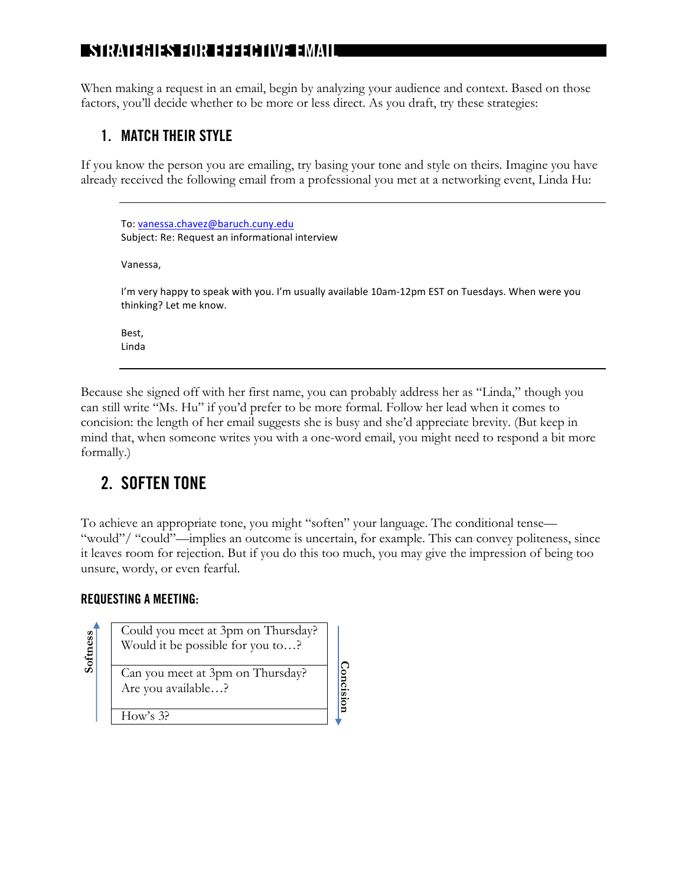# z **STRATEGIES FOR EFFECTIVE EMAIL**

When making a request in an email, begin by analyzing your audience and context. Based on those factors, you'll decide whether to be more or less direct. As you draft, try these strategies:

### **1. MATCH THEIR STYLE**

If you know the person you are emailing, try basing your tone and style on theirs. Imagine you have already received the following email from a professional you met at a networking event, Linda Hu:

```
To: vanessa.chavez@baruch.cuny.edu
Subject: Re: Request an informational interview
Vanessa,
I'm very happy to speak with you. I'm usually available 10am-12pm EST on Tuesdays. When were you
thinking? Let me know.
Best,
Linda
```
Because she signed off with her first name, you can probably address her as "Linda," though you can still write "Ms. Hu" if you'd prefer to be more formal. Follow her lead when it comes to concision: the length of her email suggests she is busy and she'd appreciate brevity. (But keep in mind that, when someone writes you with a one-word email, you might need to respond a bit more formally.)

# **2. SOFTEN TONE**

To achieve an appropriate tone, you might "soften" your language. The conditional tense— "would"/ "could"—implies an outcome is uncertain, for example. This can convey politeness, since it leaves room for rejection. But if you do this too much, you may give the impression of being too unsure, wordy, or even fearful.

> **Concision Concision**

### **REQUESTING A MEETING:**

**Softness**

Could you meet at 3pm on Thursday? Would it be possible for you to…? Can you meet at 3pm on Thursday? Are you available…?

How's 3?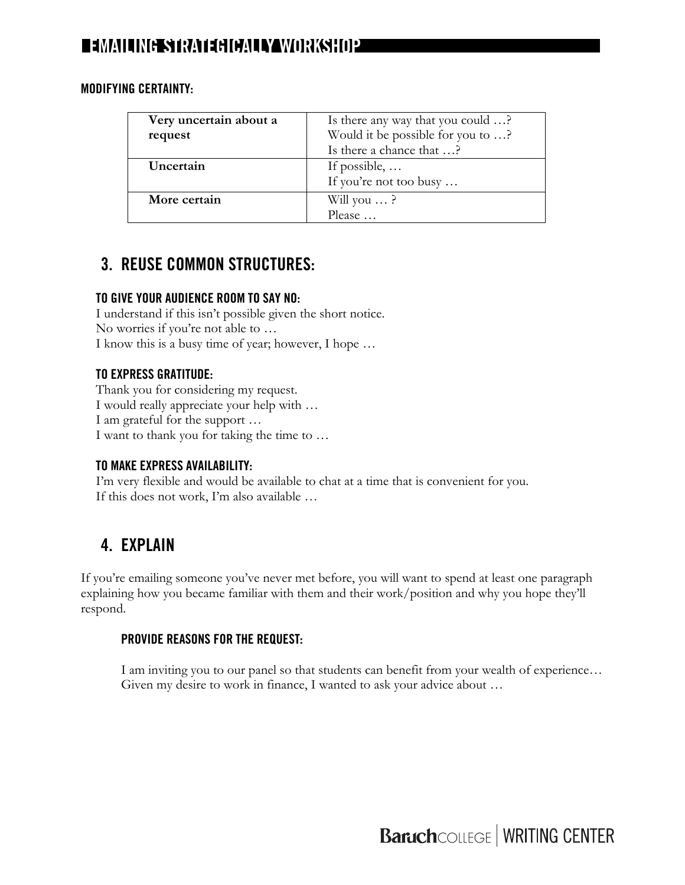| Very uncertain about a | Is there any way that you could ?                             |
|------------------------|---------------------------------------------------------------|
| request                | Would it be possible for you to ?<br>Is there a chance that ? |
|                        |                                                               |
| Uncertain              | If possible, $\dots$                                          |
|                        | If you're not too busy                                        |
| More certain           | Will you $\ldots$ ?                                           |
|                        | Please                                                        |

#### **MODIFYING CERTAINTY:**

# **3. REUSE COMMON STRUCTURES:**

### **TO GIVE YOUR AUDIENCE ROOM TO SAY NO:**

I understand if this isn't possible given the short notice. No worries if you're not able to … I know this is a busy time of year; however, I hope …

### **TO EXPRESS GRATITUDE:**

Thank you for considering my request. I would really appreciate your help with … I am grateful for the support … I want to thank you for taking the time to …

#### **TO MAKE EXPRESS AVAILABILITY:**

I'm very flexible and would be available to chat at a time that is convenient for you. If this does not work, I'm also available …

# **4. EXPLAIN**

If you're emailing someone you've never met before, you will want to spend at least one paragraph explaining how you became familiar with them and their work/position and why you hope they'll respond.

### **PROVIDE REASONS FOR THE REQUEST:**

I am inviting you to our panel so that students can benefit from your wealth of experience… Given my desire to work in finance, I wanted to ask your advice about …